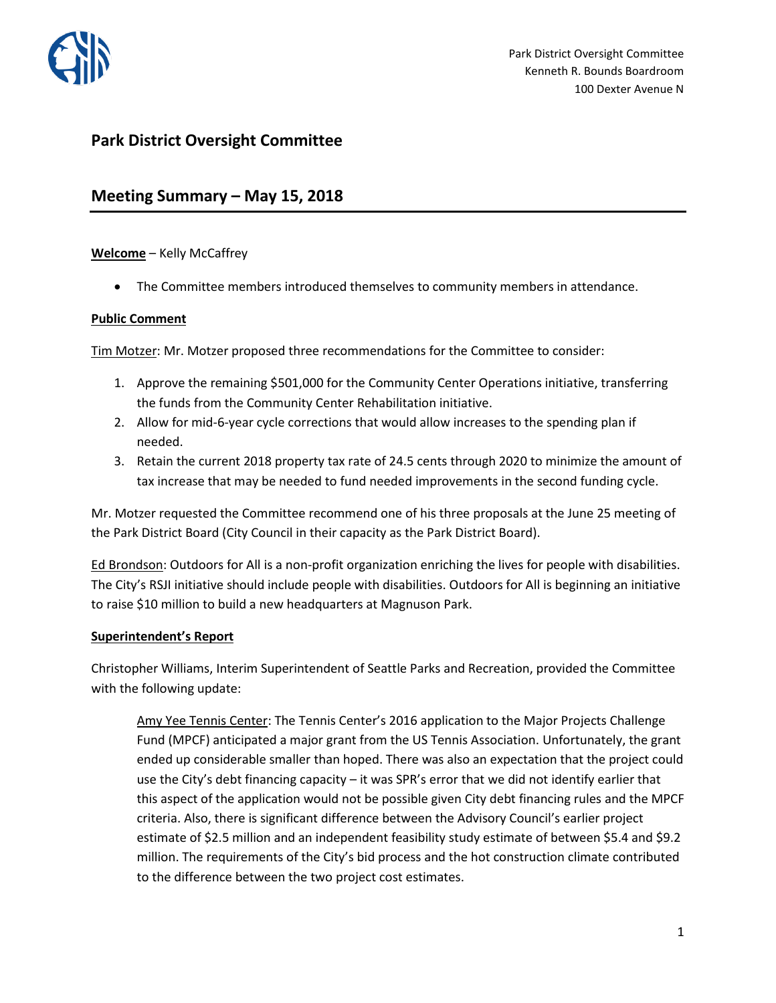

# **Park District Oversight Committee**

# **Meeting Summary – May 15, 2018**

# **Welcome** – Kelly McCaffrey

• The Committee members introduced themselves to community members in attendance.

### **Public Comment**

Tim Motzer: Mr. Motzer proposed three recommendations for the Committee to consider:

- 1. Approve the remaining \$501,000 for the Community Center Operations initiative, transferring the funds from the Community Center Rehabilitation initiative.
- 2. Allow for mid-6-year cycle corrections that would allow increases to the spending plan if needed.
- 3. Retain the current 2018 property tax rate of 24.5 cents through 2020 to minimize the amount of tax increase that may be needed to fund needed improvements in the second funding cycle.

Mr. Motzer requested the Committee recommend one of his three proposals at the June 25 meeting of the Park District Board (City Council in their capacity as the Park District Board).

Ed Brondson: Outdoors for All is a non-profit organization enriching the lives for people with disabilities. The City's RSJI initiative should include people with disabilities. Outdoors for All is beginning an initiative to raise \$10 million to build a new headquarters at Magnuson Park.

# **Superintendent's Report**

Christopher Williams, Interim Superintendent of Seattle Parks and Recreation, provided the Committee with the following update:

Amy Yee Tennis Center: The Tennis Center's 2016 application to the Major Projects Challenge Fund (MPCF) anticipated a major grant from the US Tennis Association. Unfortunately, the grant ended up considerable smaller than hoped. There was also an expectation that the project could use the City's debt financing capacity – it was SPR's error that we did not identify earlier that this aspect of the application would not be possible given City debt financing rules and the MPCF criteria. Also, there is significant difference between the Advisory Council's earlier project estimate of \$2.5 million and an independent feasibility study estimate of between \$5.4 and \$9.2 million. The requirements of the City's bid process and the hot construction climate contributed to the difference between the two project cost estimates.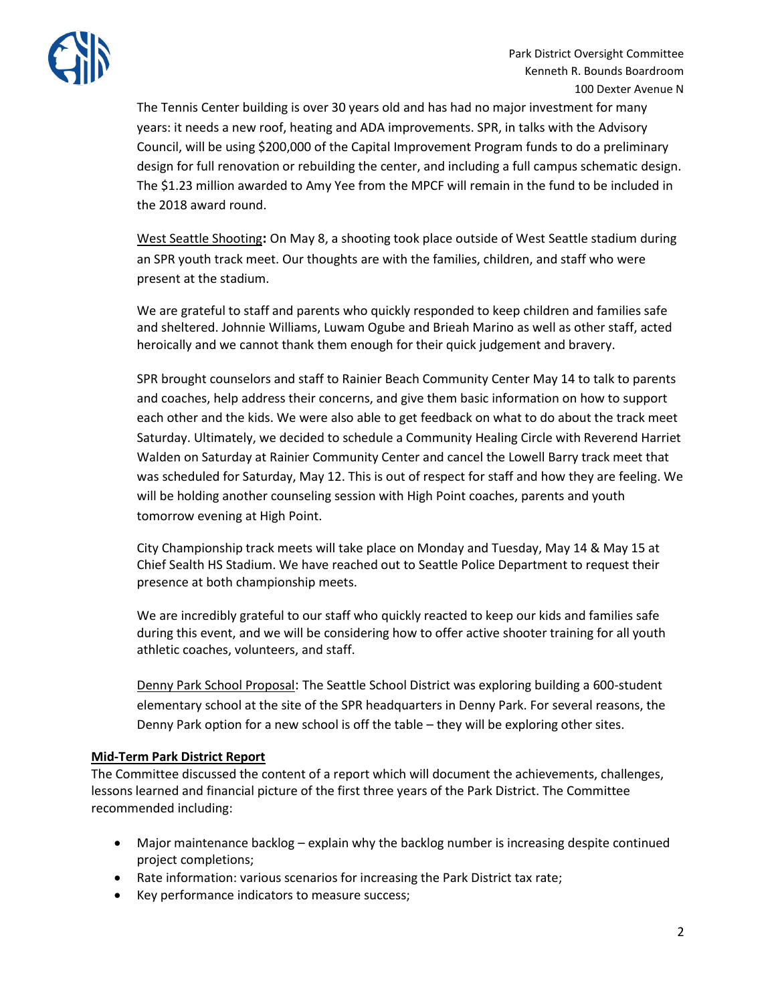

The Tennis Center building is over 30 years old and has had no major investment for many years: it needs a new roof, heating and ADA improvements. SPR, in talks with the Advisory Council, will be using \$200,000 of the Capital Improvement Program funds to do a preliminary design for full renovation or rebuilding the center, and including a full campus schematic design. The \$1.23 million awarded to Amy Yee from the MPCF will remain in the fund to be included in the 2018 award round.

West Seattle Shooting**:** On May 8, a shooting took place outside of West Seattle stadium during an SPR youth track meet. Our thoughts are with the families, children, and staff who were present at the stadium.

We are grateful to staff and parents who quickly responded to keep children and families safe and sheltered. Johnnie Williams, Luwam Ogube and Brieah Marino as well as other staff, acted heroically and we cannot thank them enough for their quick judgement and bravery.

SPR brought counselors and staff to Rainier Beach Community Center May 14 to talk to parents and coaches, help address their concerns, and give them basic information on how to support each other and the kids. We were also able to get feedback on what to do about the track meet Saturday. Ultimately, we decided to schedule a Community Healing Circle with Reverend Harriet Walden on Saturday at Rainier Community Center and cancel the Lowell Barry track meet that was scheduled for Saturday, May 12. This is out of respect for staff and how they are feeling. We will be holding another counseling session with High Point coaches, parents and youth tomorrow evening at High Point.

City Championship track meets will take place on Monday and Tuesday, May 14 & May 15 at Chief Sealth HS Stadium. We have reached out to Seattle Police Department to request their presence at both championship meets.

We are incredibly grateful to our staff who quickly reacted to keep our kids and families safe during this event, and we will be considering how to offer active shooter training for all youth athletic coaches, volunteers, and staff.

Denny Park School Proposal: The Seattle School District was exploring building a 600-student elementary school at the site of the SPR headquarters in Denny Park. For several reasons, the Denny Park option for a new school is off the table – they will be exploring other sites.

# **Mid-Term Park District Report**

The Committee discussed the content of a report which will document the achievements, challenges, lessons learned and financial picture of the first three years of the Park District. The Committee recommended including:

- Major maintenance backlog explain why the backlog number is increasing despite continued project completions;
- Rate information: various scenarios for increasing the Park District tax rate;
- Key performance indicators to measure success;